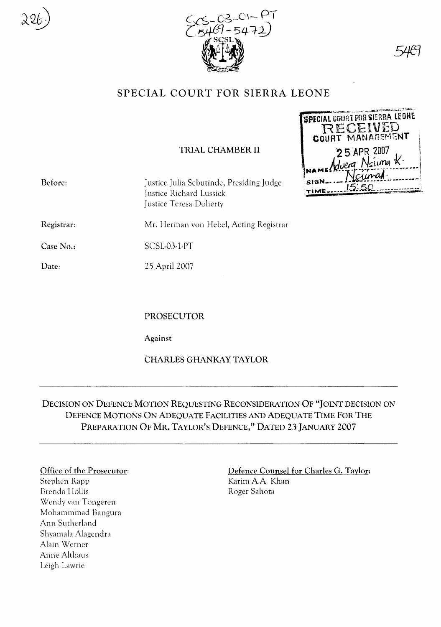



46

**SPECIAL COURT FOR SIERRA LEONE** 

RECEIVED

25 APR 2007 duera Nsima  $k$ 

# SPECIAL COURT FOR SIERRA LEONE

### TRIAL CHAMBER II

|            |                                                                                               | .             |
|------------|-----------------------------------------------------------------------------------------------|---------------|
| Before:    | Justice Julia Sebutinde, Presiding Judge<br>Justice Richard Lussick<br>Justice Teresa Doherty | SIGN<br>TIME. |
| Registrar: | Mr. Herman von Hebel, Acting Registrar                                                        |               |
| Case No.:  | SCSL03-1-PT                                                                                   |               |
| Date:      | 25 April 2007                                                                                 |               |

PROSECUTOR

Against

CHARLES GHANKAY TAYLOR

## DECISION ON DEFENCE MOTION REQUESTING RECONSIDERATION OF "JOINT DECISION ON DEFENCE MOTIONS ON ADEQUATE FACILITIES AND ADEQUATE TIME FOR THE PREPARATION OF MR. TAYLOR'S DEFENCE," DATED 23 JANUARY 2007

#### Office of the Prosecutor:

Stephen Rapp Brenda Hollis Wendy van Tongeren Mohammmad Bangura Ann Sutherland Shyamala Alagendra Alain Werner Anne Althaus Leigh Lawrie

#### Defence Counsel for Charles G. Taylor: Karim A.A. Khan Roger Sahota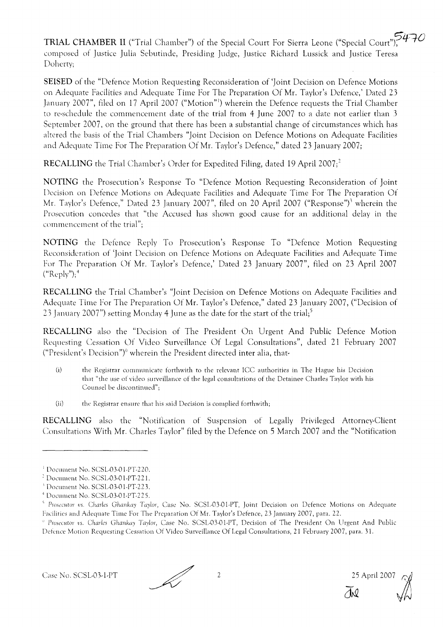TRIAL CHAMBER II ("Trial Chamber") of the Special Court For Sierra Leone ("Special Court"),  $770$ composed of Justice Julia Sebutinde, Presiding Judge, Justice Richard Lussick and Justice Teresa Doherty;

**SEISED** of the "Defence Motion Requesting Reconsideration of 'Joint Decision on Defence Motions on Adequate Facilities and Adequate Time For The Preparation Of Mr. Taylor's Defence,' Dated 23 January 2007", filed on 17 April 2007 ("Motion"!) wherein the Defence requests the Trial Chamber to re-schedule the commencement date of the trial from 4 June 2007 to a date not earlier than 3 September 2007, on the ground that there has been a substantial change of circumstances which has altered the basis of the Trial Chambers "Joint Decision on Defence Motions on Adequate Facilities and Adequate Time For The Preparation Of Mr. Taylor's Defence," dated 23 January 2007;

**RECALLING** the Trial Chamber's Order for Expedited Filing, dated 19 April 2007;<sup>2</sup>

**NOTING** the Prosecution's Response To "Defence Motion Requesting Reconsideration of Joint Decision on Defence Motions on Adequate Facilities and Adequate Time For The Preparation Of Mr. Taylor's Defence," Dated 23 January 2007", filed on 20 April 2007 ("Response")) wherein the Prosecution concedes that "the Accused has shown good cause for an additional delay in the commencement of the trial";

**NOTING** the Defence Reply To Prosecution's Response To "Defence Motion Requesting Reconsideration of 'Joint Decision on Defence Motions on Adequate Facilities and Adequate Time For The Preparation Of Mr. Taylor's Defence,' Dated 23 January 2007", filed on 23 April 2007  $("Reply");^4$ 

**RECALLING** the Trial Chamber's "Joint Decision on Defence Motions on Adequate Facilities and Adequate Time For The Preparation Of Mr. Taylor's Defence," dated 23 January 2007, ("Decision of 23 January 2007") setting Monday 4 June as the date for the start of the trial;<sup>5</sup>

**RECALLING** also the "Decision of The President On Urgent And Public Defence Motion Requesting Cessation Of Video Surveillance Of Legal Consultations", dated 21 February 2007 ("President's Decision")" wherein the President directed inter alia, that-

- (i) the Registrar communicate forthwith to the relevant ICC authorities in The Hague his Decision that "the use of video surveillance of the legal consultations of the Detainee Charles Taylor with his Counsel be discontinued";
- (ii) the Registrar ensure that his said Decision is complied forthwith;

**RECALLING** also the "Notification of Suspension of Legally Privileged Attorney-Client Consultations With Mr. Charles Taylor" filed by the Defence on 5 March 2007 and the "Notification

VN

<sup>&</sup>lt;sup>1</sup> Document No. SCSL-03-01-PT-220.

 $2$  Document No. SCSL-03-01-PT-221.

<sup>&</sup>lt;sup>3</sup> Document No. SCSL-03-01-PT-223.

<sup>&</sup>lt;sup>4</sup> Document No. SCSL03-01-PT-225.

<sup>&</sup>lt;sup>5</sup> Prosecutor vs. Charles Ghankay Taylor, Case No. SCSL-03-01-PT, Joint Decision on Defence Motions on Adequate Facilities and Adequate Time For The Preparation Of Mr. Taylor's Defence, 23 January 2007, para. 22.

<sup>&</sup>lt;sup>9</sup> Prosecutor vs. Charles Ghankay Taylor, Case No. SCSL-03-01-PT, Decision of The President On Urgent And Public Defence Motion Requesting Cessation Of Video Surveillance Of Legal Consultations, 21 February 2007, para. 31.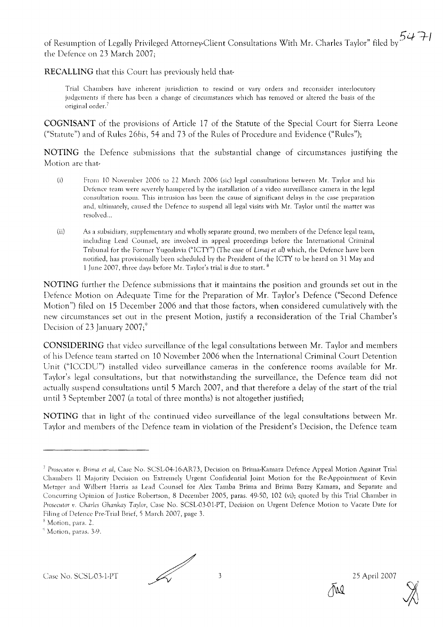of Resumption of Legally Privileged Attorney-Client Consultations With Mr. Charles Taylor" filed by  $5471$ <br>the Defence on 23 Marsh 2007 the Defence on 23 March 2007;

**RECALLING** that this Court has previously held that-

Trial Chambers have inherent jurisdiction to rescind or vary orders and reconsider interlocutory judgements if there has been a change of circumstances which has removed or alrered the basis of the original order.<sup>7</sup>

**COGNISANT** of the provisions of Article 17 of the Statute of the Special Court for Sierra Leone ("Statute") and of Rules *26bis,* 54 and 73 of the Rules of Procedure and Evidence ("Rules");

**NOTING** the Defence submissions that the substantial change of circumstances justifying the Motion are that-

- (i) From 10 November 2006 to 22 March 2006 (sic) legal consultations between Mr. Taylor and his Defence team were severely hampered by the installation of a video surveillance camera in the legal consultation room. This intrusion has been the cause of significant delays in the case preparation and, ultimately, caused the Defence to suspend all legal visits with Mr. Taylor until the matter was resolved...
- (ii) As a subsidiary, supplementary and wholly separate ground, two members of the Defence legal team, including Lead Counsel, are involved in appeal proceedings before the International Criminal Tribunal for the Fonner Yugoslavia ("ICTY") (The case of Limaj et *at)* which, the Defence have been notified, has provisionally been scheduled by the President of the ICTY to be heard on 31 May and 1 June 2007, three days before Mr. Taylor's trial is due to start. <sup>8</sup>

**NOTING** further the Defence submissions that it maintains the position and grounds set out in the Defence Motion on Adequate Time for the Preparation of Mr. Taylor's Defence ("Second Defence Motion") filed on 15 December 2006 and that those factors, when considered cumulatively with the new circumstances set out in the present Motion, justify a reconsideration of the Trial Chamber's Decision of 23 January  $2007$ ;<sup>9</sup>

**CONSIDERING** that video surveillance of the legal consultations between Mr. Taylor and members of his Defence team started on 10 November 2006 when the International Criminal Court Detention Unit ("ICCDU") installed video surveillance cameras in the conference rooms available for Mr. Taylor's legal consultations, but that notwithstanding the surveillance, the Defence team did not actually suspend consultations until 5 March 2007, and that therefore a delay of the start of the trial until 3 September 2007 (a total of three months) is not altogether justified;

**NOTING** that in light of the continued video surveillance of the legal consultations between Mr. Taylor and members of the Defence team in violation of the President's Decision, the Defence team



<sup>&</sup>lt;sup>7</sup> Prosecutor v. Brima et al, Case No. SCSL-04-16-AR73, Decision on Brima-Kamara Defence Appeal Motion Against Trial Chambers II Majority Decision on Extremely Urgent Confidential Joint Motion for the Re-Appointment of Kevin Metzger and Wilbert Harris as Lead Counsel for Alex Tamba Brima and Brima Bazzy Kamara, and Separate and Concurring Opinion of Justice Robertson, 8 December 2005, paras. 49-50, 102 (vi); quoted by this Trial Chamber in Prosecutor v. Charles Ghankay Taylor, Case No. SCSL-03-01-PT, Decision on Urgent Defence Motion to Vacate Date for Filing of Defence Pre-Trial Brief, 5 March 2007, page 3.

<sup>&</sup>lt;sup>8</sup> Motion, para. 2.

 $^{\circ}$  Motion, paras. 3-9.